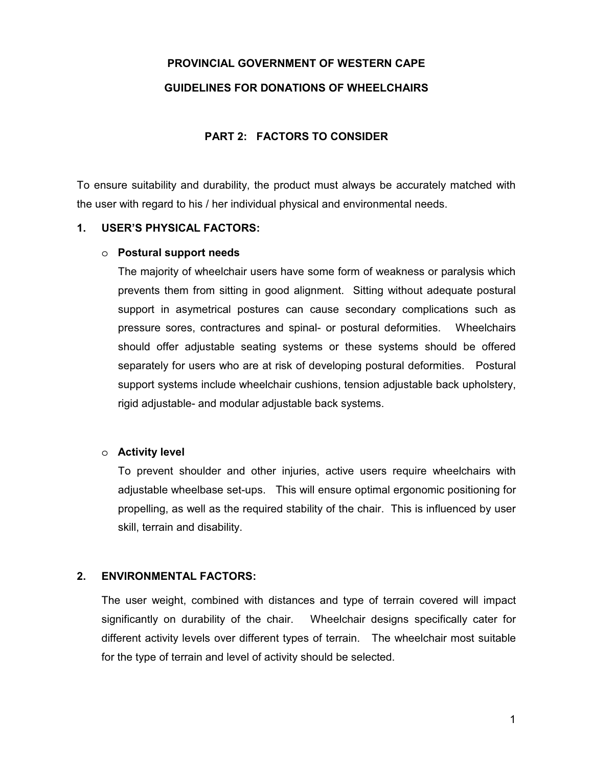# **PROVINCIAL GOVERNMENT OF WESTERN CAPE GUIDELINES FOR DONATIONS OF WHEELCHAIRS**

## **PART 2: FACTORS TO CONSIDER**

To ensure suitability and durability, the product must always be accurately matched with the user with regard to his / her individual physical and environmental needs.

#### **1. USER'S PHYSICAL FACTORS:**

#### o **Postural support needs**

The majority of wheelchair users have some form of weakness or paralysis which prevents them from sitting in good alignment. Sitting without adequate postural support in asymetrical postures can cause secondary complications such as pressure sores, contractures and spinal- or postural deformities. Wheelchairs should offer adjustable seating systems or these systems should be offered separately for users who are at risk of developing postural deformities. Postural support systems include wheelchair cushions, tension adjustable back upholstery, rigid adjustable- and modular adjustable back systems.

#### o **Activity level**

To prevent shoulder and other injuries, active users require wheelchairs with adjustable wheelbase set-ups. This will ensure optimal ergonomic positioning for propelling, as well as the required stability of the chair. This is influenced by user skill, terrain and disability.

### **2. ENVIRONMENTAL FACTORS:**

The user weight, combined with distances and type of terrain covered will impact significantly on durability of the chair. Wheelchair designs specifically cater for different activity levels over different types of terrain. The wheelchair most suitable for the type of terrain and level of activity should be selected.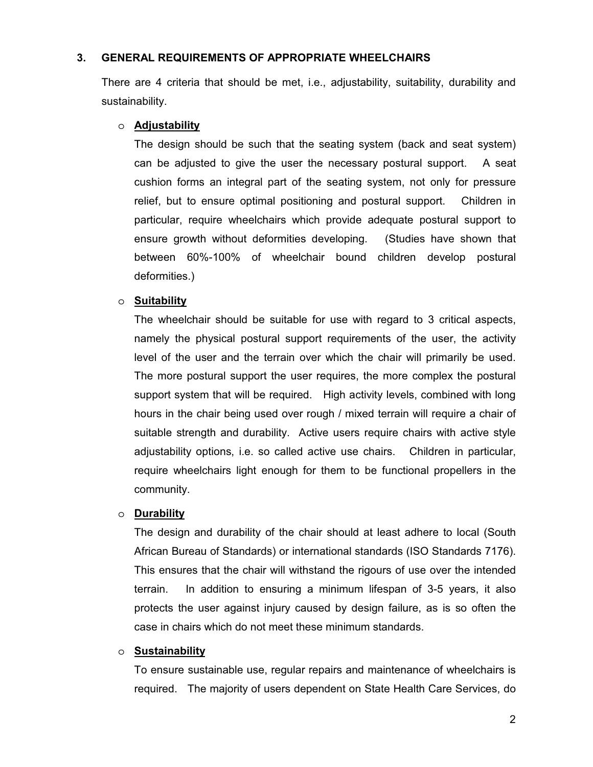## **3. GENERAL REQUIREMENTS OF APPROPRIATE WHEELCHAIRS**

There are 4 criteria that should be met, i.e., adjustability, suitability, durability and sustainability.

### o **Adjustability**

The design should be such that the seating system (back and seat system) can be adjusted to give the user the necessary postural support. A seat cushion forms an integral part of the seating system, not only for pressure relief, but to ensure optimal positioning and postural support. Children in particular, require wheelchairs which provide adequate postural support to ensure growth without deformities developing. (Studies have shown that between 60%-100% of wheelchair bound children develop postural deformities.)

## o **Suitability**

The wheelchair should be suitable for use with regard to 3 critical aspects, namely the physical postural support requirements of the user, the activity level of the user and the terrain over which the chair will primarily be used. The more postural support the user requires, the more complex the postural support system that will be required. High activity levels, combined with long hours in the chair being used over rough / mixed terrain will require a chair of suitable strength and durability. Active users require chairs with active style adjustability options, i.e. so called active use chairs. Children in particular, require wheelchairs light enough for them to be functional propellers in the community.

## o **Durability**

The design and durability of the chair should at least adhere to local (South African Bureau of Standards) or international standards (ISO Standards 7176). This ensures that the chair will withstand the rigours of use over the intended terrain. In addition to ensuring a minimum lifespan of 3-5 years, it also protects the user against injury caused by design failure, as is so often the case in chairs which do not meet these minimum standards.

### o **Sustainability**

To ensure sustainable use, regular repairs and maintenance of wheelchairs is required. The majority of users dependent on State Health Care Services, do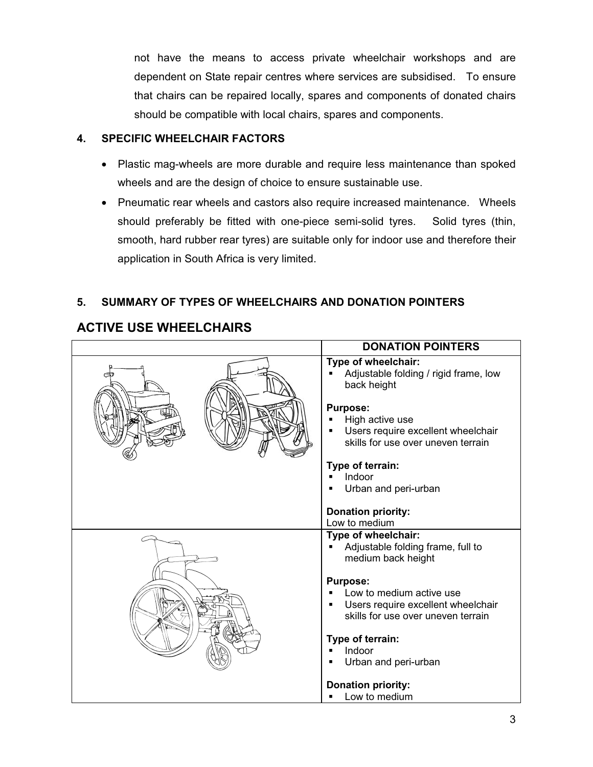not have the means to access private wheelchair workshops and are dependent on State repair centres where services are subsidised. To ensure that chairs can be repaired locally, spares and components of donated chairs should be compatible with local chairs, spares and components.

## **4. SPECIFIC WHEELCHAIR FACTORS**

- Plastic mag-wheels are more durable and require less maintenance than spoked wheels and are the design of choice to ensure sustainable use.
- Pneumatic rear wheels and castors also require increased maintenance. Wheels should preferably be fitted with one-piece semi-solid tyres. Solid tyres (thin, smooth, hard rubber rear tyres) are suitable only for indoor use and therefore their application in South Africa is very limited.

## **5. SUMMARY OF TYPES OF WHEELCHAIRS AND DONATION POINTERS**

|     | <b>DONATION POINTERS</b>                                                                                                                                                                      |
|-----|-----------------------------------------------------------------------------------------------------------------------------------------------------------------------------------------------|
| تكت | Type of wheelchair:<br>Adjustable folding / rigid frame, low<br>back height<br><b>Purpose:</b><br>High active use<br>Users require excellent wheelchair<br>skills for use over uneven terrain |
|     | Type of terrain:                                                                                                                                                                              |
|     | Indoor                                                                                                                                                                                        |
|     | Urban and peri-urban                                                                                                                                                                          |
|     | <b>Donation priority:</b><br>Low to medium                                                                                                                                                    |
|     | Type of wheelchair:<br>Adjustable folding frame, full to<br>medium back height                                                                                                                |
|     | <b>Purpose:</b>                                                                                                                                                                               |
|     | Low to medium active use                                                                                                                                                                      |
|     | Users require excellent wheelchair                                                                                                                                                            |
|     | skills for use over uneven terrain                                                                                                                                                            |
|     |                                                                                                                                                                                               |
|     | Type of terrain:                                                                                                                                                                              |
|     | Indoor                                                                                                                                                                                        |
|     | Urban and peri-urban                                                                                                                                                                          |
|     | <b>Donation priority:</b>                                                                                                                                                                     |
|     | Low to medium                                                                                                                                                                                 |

## **ACTIVE USE WHEELCHAIRS**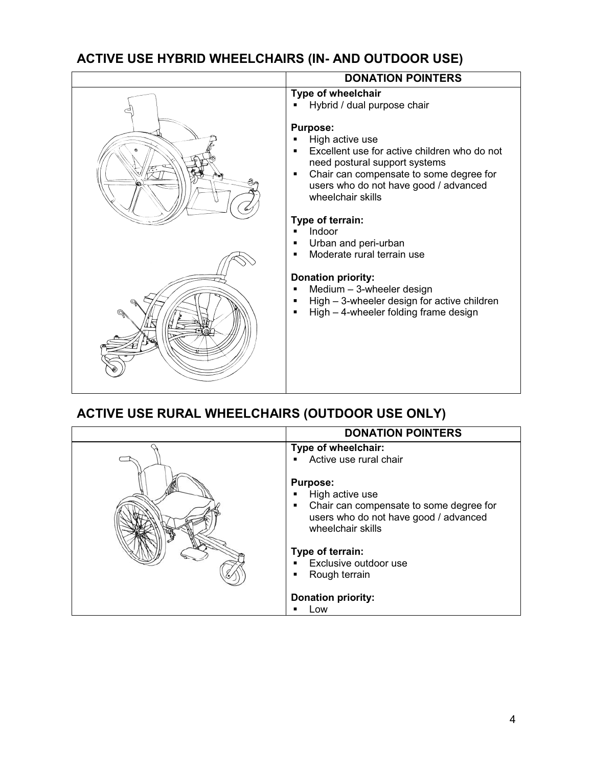## **ACTIVE USE HYBRID WHEELCHAIRS (IN- AND OUTDOOR USE)**

| <b>DONATION POINTERS</b>                                                                                                                                                                                                                                                                      |
|-----------------------------------------------------------------------------------------------------------------------------------------------------------------------------------------------------------------------------------------------------------------------------------------------|
| Type of wheelchair<br>Hybrid / dual purpose chair                                                                                                                                                                                                                                             |
| <b>Purpose:</b><br>High active use<br>Excellent use for active children who do not<br>need postural support systems<br>Chair can compensate to some degree for<br>٠<br>users who do not have good / advanced<br>wheelchair skills                                                             |
| Type of terrain:<br>Indoor<br>Urban and peri-urban<br>$\blacksquare$<br>Moderate rural terrain use<br>$\blacksquare$<br><b>Donation priority:</b><br>Medium - 3-wheeler design<br>٠<br>High - 3-wheeler design for active children<br>High - 4-wheeler folding frame design<br>$\blacksquare$ |
|                                                                                                                                                                                                                                                                                               |

# **ACTIVE USE RURAL WHEELCHAIRS (OUTDOOR USE ONLY)**

| <b>DONATION POINTERS</b>                                                                                                                                                                                                                   |
|--------------------------------------------------------------------------------------------------------------------------------------------------------------------------------------------------------------------------------------------|
| Type of wheelchair:<br>Active use rural chair                                                                                                                                                                                              |
| <b>Purpose:</b><br>High active use<br>٠<br>Chair can compensate to some degree for<br>٠<br>users who do not have good / advanced<br>wheelchair skills<br>Type of terrain:<br>Exclusive outdoor use<br>$\blacksquare$<br>Rough terrain<br>٠ |
| <b>Donation priority:</b>                                                                                                                                                                                                                  |
| Low                                                                                                                                                                                                                                        |